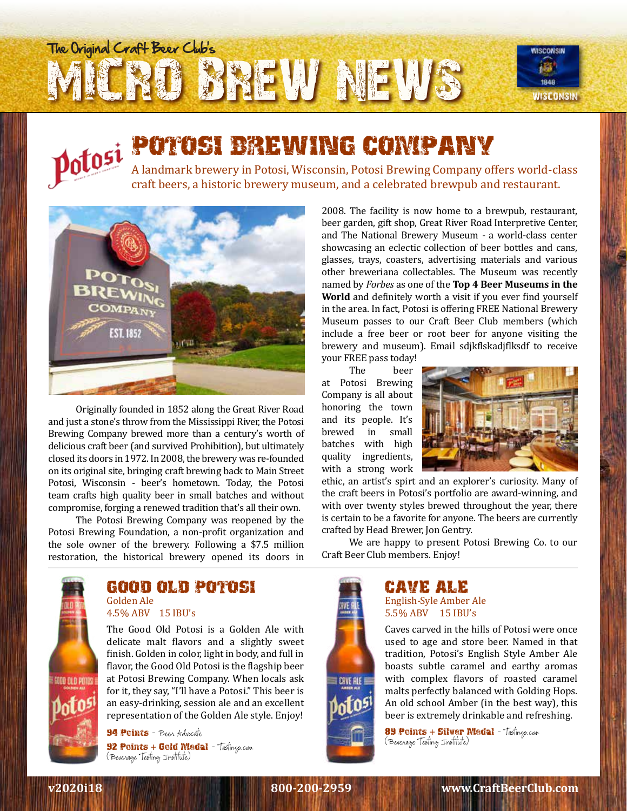# **BREW NEWS** The Original Craft Beer Club's WISCONSIN



# POTOSI BREWING COMPANY

A landmark brewery in Potosi, Wisconsin, Potosi Brewing Company offers world-class craft beers, a historic brewery museum, and a celebrated brewpub and restaurant.



Originally founded in 1852 along the Great River Road and just a stone's throw from the Mississippi River, the Potosi Brewing Company brewed more than a century's worth of delicious craft beer (and survived Prohibition), but ultimately closed its doors in 1972. In 2008, the brewery was re-founded on its original site, bringing craft brewing back to Main Street Potosi, Wisconsin - beer's hometown. Today, the Potosi team crafts high quality beer in small batches and without compromise, forging a renewed tradition that's all their own.

The Potosi Brewing Company was reopened by the Potosi Brewing Foundation, a non-profit organization and the sole owner of the brewery. Following a \$7.5 million restoration, the historical brewery opened its doors in 2008. The facility is now home to a brewpub, restaurant, beer garden, gift shop, Great River Road Interpretive Center, and The National Brewery Museum - a world-class center showcasing an eclectic collection of beer bottles and cans, glasses, trays, coasters, advertising materials and various other breweriana collectables. The Museum was recently named by *Forbes* as one of the **Top 4 Beer Museums in the World** and definitely worth a visit if you ever find yourself in the area. In fact, Potosi is offering FREE National Brewery Museum passes to our Craft Beer Club members (which include a free beer or root beer for anyone visiting the brewery and museum). Email sdjkflskadjflksdf to receive

your FREE pass today!

beer at Potosi Brewing Company is all about honoring the town and its people. It's brewed in small batches with high quality ingredients, with a strong work



ethic, an artist's spirt and an explorer's curiosity. Many of the craft beers in Potosi's portfolio are award-winning, and with over twenty styles brewed throughout the year, there is certain to be a favorite for anyone. The beers are currently crafted by Head Brewer, Jon Gentry.

We are happy to present Potosi Brewing Co. to our Craft Beer Club members. Enjoy!



### GOOD OLD POTOSI Golden Ale

4.5% ABV 15 IBU's

The Good Old Potosi is a Golden Ale with delicate malt flavors and a slightly sweet finish. Golden in color, light in body, and full in flavor, the Good Old Potosi is the flagship beer at Potosi Brewing Company. When locals ask for it, they say, "I'll have a Potosi." This beer is an easy-drinking, session ale and an excellent representation of the Golden Ale style. Enjoy!

**94 Points** - Been Advocate **92 Points + Gold Medal - Tastings.com** (Beverage Testing Institute)



#### CAVE ALE English-Syle Amber Ale 5.5% ABV 15 IBU's

Caves carved in the hills of Potosi were once used to age and store beer. Named in that tradition, Potosi's English Style Amber Ale boasts subtle caramel and earthy aromas with complex flavors of roasted caramel malts perfectly balanced with Golding Hops. An old school Amber (in the best way), this beer is extremely drinkable and refreshing.

89 Points + Silver Medal - Tastings.com (Beverage Testing Institute)